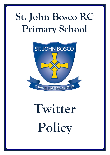## **St. John Bosco RC Primary School**



# **Twitter Policy**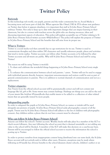### **Twitter Policy**

#### **Rationale**

In this technology rich world, our pupils, parents and the wider community live in, Social Media is becoming more and more part of daily life. When agencies like Ofsted, DfE & STA release new guidance on Twitter days before it appears elsewhere, it is important that staff at St John Bosco Primary School embrace Twitter. Not only to keep up to date with important changes that can impact learning in their classroom, but also to connect with teachers across the globe who are sharing resources, ideas and discussing important aspects of education. This policy will explain acceptable use of Twitter relating to St John Bosco Primary School twitter account: @StJohnBosco? The policy will explain the purpose of Twitter in St John Bosco Primary School and the benefits that will arise from its proper use.

#### **What is Twitter:**

Twitter is a social media tool that currently has no age restrictions for its use. Twitter is used to communicate thoughts and ideas within 280 characters and usually references people, places and activities that tend to invite replies. Twitter accounts can follow other Twitter accounts or be followed by other Twitter accounts and all tweets are public. Why will St John Bosco Primary School and staff be using Twitter?

The reason we will be using Twitter is twofold:

1. To share and celebrate the wonderful things happening at St John Bosco Primary School every single day.

2. To enhance the communication between school and parents / carers. Twitter will not be used to engage with individual parents directly, however, important announcements and notices could be sent as part of general communication to parents. This is in addition to normal channels of communication and not as a replacement.

#### **Twitter etiquette:**

Any Tweets from the official school account will be grammatically correct and will not contain text language like lol, gr8 or l8r. Some tweets may contain hashtags. Hashtags are things you can add to the end of your tweets like #edchat #PrimaryRocks that enable tweets to be added to a collection of other related tweets that are generally viewed by more people.

#### **Safeguarding pupils:**

In order to safeguard the pupils at St John Bosco Primary School, no names or initials will be used alongside any pictures of pupils. St John Bosco Primary School seeks photographic consent of all the pupils. Tweets sent by St John Bosco Primary School will adhere to the list of children with photographic consent. Any children within a photo that do not have consent must be obscured.

#### **Who can follow St John Bosco Primary School?**

Anyone can follow the school's Twitter account. Weekly checks will take place by a member of the SLT to check recent followers. Any user following the school account that is deemed unsuitable or not adding any value to the school will be blocked. A member of the SLT will make this decision on a case-by-case basis. Parents will be encouraged to follow the official school account to receive the information the school is posting up to Twitter.

In order to protect ourselves from inappropriate content being distributed into our news feeds, the St John Bosco account will not actively seek to follow other users. However, exceptions may be made where following an @ handle has obvious benefits to the school (deanery cluster schools, children's author or an